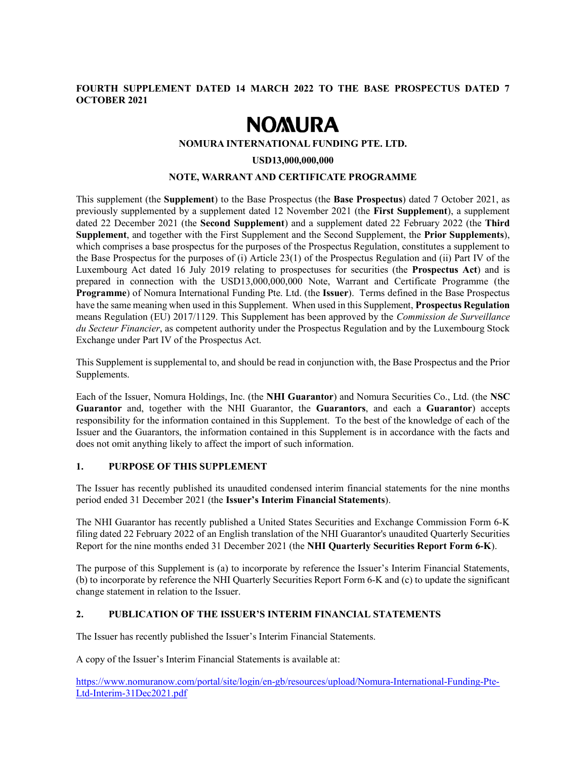# FOURTH SUPPLEMENT DATED 14 MARCH 2022 TO THE BASE PROSPECTUS DATED 7 OCTOBER 2021

# **NOMURA**

## NOMURA INTERNATIONAL FUNDING PTE. LTD.

## USD13,000,000,000

## NOTE, WARRANT AND CERTIFICATE PROGRAMME

This supplement (the **Supplement**) to the Base Prospectus (the **Base Prospectus**) dated 7 October 2021, as previously supplemented by a supplement dated 12 November 2021 (the First Supplement), a supplement dated 22 December 2021 (the **Second Supplement**) and a supplement dated 22 February 2022 (the Third Supplement, and together with the First Supplement and the Second Supplement, the Prior Supplements), which comprises a base prospectus for the purposes of the Prospectus Regulation, constitutes a supplement to the Base Prospectus for the purposes of (i) Article 23(1) of the Prospectus Regulation and (ii) Part IV of the Luxembourg Act dated 16 July 2019 relating to prospectuses for securities (the **Prospectus Act**) and is prepared in connection with the USD13,000,000,000 Note, Warrant and Certificate Programme (the Programme) of Nomura International Funding Pte. Ltd. (the Issuer). Terms defined in the Base Prospectus have the same meaning when used in this Supplement. When used in this Supplement, Prospectus Regulation means Regulation (EU) 2017/1129. This Supplement has been approved by the Commission de Surveillance du Secteur Financier, as competent authority under the Prospectus Regulation and by the Luxembourg Stock Exchange under Part IV of the Prospectus Act.

This Supplement is supplemental to, and should be read in conjunction with, the Base Prospectus and the Prior Supplements.

Each of the Issuer, Nomura Holdings, Inc. (the NHI Guarantor) and Nomura Securities Co., Ltd. (the NSC Guarantor and, together with the NHI Guarantor, the Guarantors, and each a Guarantor) accepts responsibility for the information contained in this Supplement. To the best of the knowledge of each of the Issuer and the Guarantors, the information contained in this Supplement is in accordance with the facts and does not omit anything likely to affect the import of such information.

# 1. PURPOSE OF THIS SUPPLEMENT

The Issuer has recently published its unaudited condensed interim financial statements for the nine months period ended 31 December 2021 (the Issuer's Interim Financial Statements).

The NHI Guarantor has recently published a United States Securities and Exchange Commission Form 6-K filing dated 22 February 2022 of an English translation of the NHI Guarantor's unaudited Quarterly Securities Report for the nine months ended 31 December 2021 (the NHI Quarterly Securities Report Form 6-K).

The purpose of this Supplement is (a) to incorporate by reference the Issuer's Interim Financial Statements, (b) to incorporate by reference the NHI Quarterly Securities Report Form 6-K and (c) to update the significant change statement in relation to the Issuer.

## 2. PUBLICATION OF THE ISSUER'S INTERIM FINANCIAL STATEMENTS

The Issuer has recently published the Issuer's Interim Financial Statements.

A copy of the Issuer's Interim Financial Statements is available at:

https://www.nomuranow.com/portal/site/login/en-gb/resources/upload/Nomura-International-Funding-Pte-Ltd-Interim-31Dec2021.pdf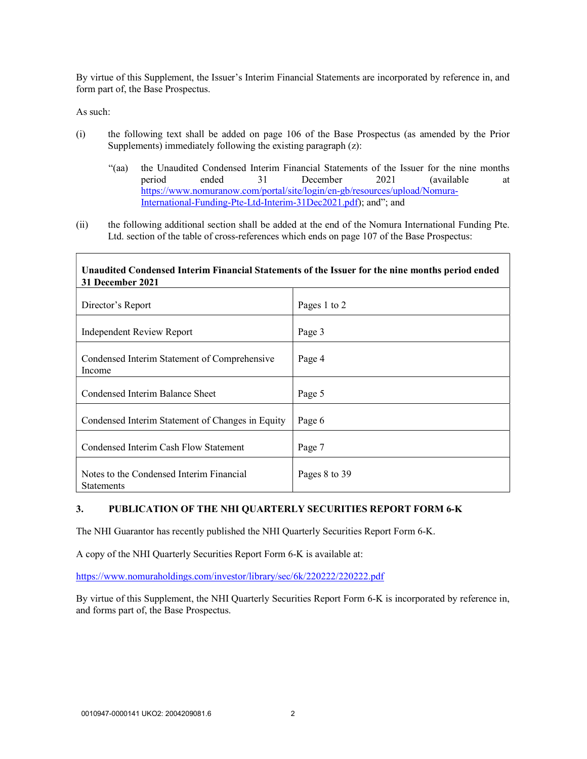By virtue of this Supplement, the Issuer's Interim Financial Statements are incorporated by reference in, and form part of, the Base Prospectus.

As such:

- (i) the following text shall be added on page 106 of the Base Prospectus (as amended by the Prior Supplements) immediately following the existing paragraph (z):
	- "(aa) the Unaudited Condensed Interim Financial Statements of the Issuer for the nine months period ended 31 December 2021 (available at https://www.nomuranow.com/portal/site/login/en-gb/resources/upload/Nomura-International-Funding-Pte-Ltd-Interim-31Dec2021.pdf); and"; and
- (ii) the following additional section shall be added at the end of the Nomura International Funding Pte. Ltd. section of the table of cross-references which ends on page 107 of the Base Prospectus:

#### Unaudited Condensed Interim Financial Statements of the Issuer for the nine months period ended 31 December 2021

| Director's Report                                             | Pages 1 to 2  |
|---------------------------------------------------------------|---------------|
| <b>Independent Review Report</b>                              | Page 3        |
| Condensed Interim Statement of Comprehensive<br>Income        | Page 4        |
| Condensed Interim Balance Sheet                               | Page 5        |
| Condensed Interim Statement of Changes in Equity              | Page 6        |
| Condensed Interim Cash Flow Statement                         | Page 7        |
| Notes to the Condensed Interim Financial<br><b>Statements</b> | Pages 8 to 39 |

## 3. PUBLICATION OF THE NHI QUARTERLY SECURITIES REPORT FORM 6-K

The NHI Guarantor has recently published the NHI Quarterly Securities Report Form 6-K.

A copy of the NHI Quarterly Securities Report Form 6-K is available at:

https://www.nomuraholdings.com/investor/library/sec/6k/220222/220222.pdf

By virtue of this Supplement, the NHI Quarterly Securities Report Form 6-K is incorporated by reference in, and forms part of, the Base Prospectus.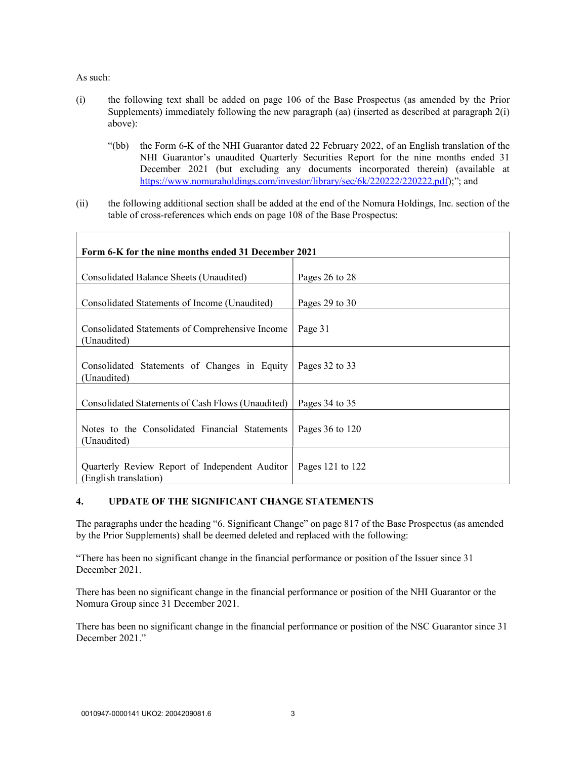As such:

Г

- (i) the following text shall be added on page 106 of the Base Prospectus (as amended by the Prior Supplements) immediately following the new paragraph (aa) (inserted as described at paragraph 2(i) above):
	- "(bb) the Form 6-K of the NHI Guarantor dated 22 February 2022, of an English translation of the NHI Guarantor's unaudited Quarterly Securities Report for the nine months ended 31 December 2021 (but excluding any documents incorporated therein) (available at https://www.nomuraholdings.com/investor/library/sec/6k/220222/220222.pdf);"; and
- (ii) the following additional section shall be added at the end of the Nomura Holdings, Inc. section of the table of cross-references which ends on page 108 of the Base Prospectus:

| Form 6-K for the nine months ended 31 December 2021                     |                     |
|-------------------------------------------------------------------------|---------------------|
|                                                                         |                     |
| Consolidated Balance Sheets (Unaudited)                                 | Pages 26 to 28      |
| Consolidated Statements of Income (Unaudited)                           | Pages 29 to 30      |
| Consolidated Statements of Comprehensive Income<br>(Unaudited)          | Page 31             |
| Consolidated Statements of Changes in Equity<br>(Unaudited)             | Pages 32 to 33      |
| Consolidated Statements of Cash Flows (Unaudited)                       | Pages 34 to 35      |
| Notes to the Consolidated Financial Statements<br>(Unaudited)           | Pages $36$ to $120$ |
| Quarterly Review Report of Independent Auditor<br>(English translation) | Pages 121 to $122$  |

# 4. UPDATE OF THE SIGNIFICANT CHANGE STATEMENTS

The paragraphs under the heading "6. Significant Change" on page 817 of the Base Prospectus (as amended by the Prior Supplements) shall be deemed deleted and replaced with the following:

"There has been no significant change in the financial performance or position of the Issuer since 31 December 2021.

There has been no significant change in the financial performance or position of the NHI Guarantor or the Nomura Group since 31 December 2021.

There has been no significant change in the financial performance or position of the NSC Guarantor since 31 December 2021."